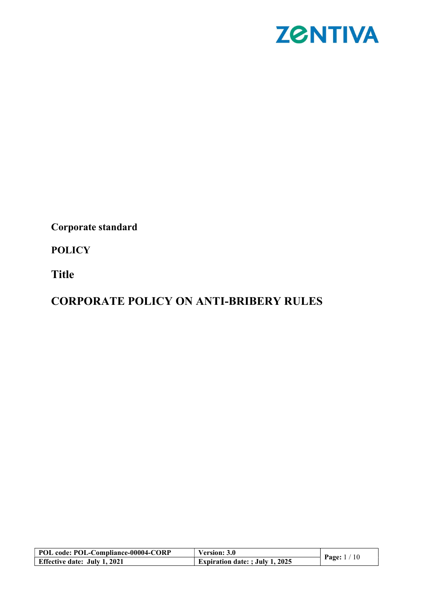

Corporate standard

**POLICY** 

Title

# CORPORATE POLICY ON ANTI-BRIBERY RULES

| POL code: POL-Compliance-00004-CORP | <b>Version: 3.0</b>                    |                     |
|-------------------------------------|----------------------------------------|---------------------|
| <b>Effective date: July 1, 2021</b> | <b>Expiration date: ; July 1, 2025</b> | <b>Page:</b> $1/10$ |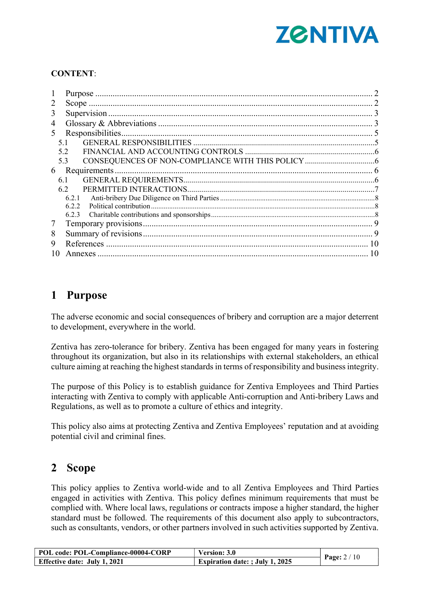

### CONTENT:

| 2  |       |  |
|----|-------|--|
| 3  |       |  |
| 4  |       |  |
| 5  |       |  |
|    | 5.1   |  |
|    | 5.2   |  |
|    | 5.3   |  |
| 6  |       |  |
|    | 6.1   |  |
|    | 6.2   |  |
|    | 6.2.1 |  |
|    | 6.2.2 |  |
|    | 6.2.3 |  |
| 7  |       |  |
| 8  |       |  |
| 9  |       |  |
| 10 |       |  |

# 1 Purpose

The adverse economic and social consequences of bribery and corruption are a major deterrent to development, everywhere in the world.

Zentiva has zero-tolerance for bribery. Zentiva has been engaged for many years in fostering throughout its organization, but also in its relationships with external stakeholders, an ethical culture aiming at reaching the highest standards in terms of responsibility and business integrity.

The purpose of this Policy is to establish guidance for Zentiva Employees and Third Parties interacting with Zentiva to comply with applicable Anti-corruption and Anti-bribery Laws and Regulations, as well as to promote a culture of ethics and integrity.

This policy also aims at protecting Zentiva and Zentiva Employees' reputation and at avoiding potential civil and criminal fines.

# 2 Scope

This policy applies to Zentiva world-wide and to all Zentiva Employees and Third Parties engaged in activities with Zentiva. This policy defines minimum requirements that must be complied with. Where local laws, regulations or contracts impose a higher standard, the higher standard must be followed. The requirements of this document also apply to subcontractors, such as consultants, vendors, or other partners involved in such activities supported by Zentiva.

| POL code: POL-Compliance-00004-CORP | Version: 3.0                           |                       |
|-------------------------------------|----------------------------------------|-----------------------|
| <b>Effective date: July 1, 2021</b> | <b>Expiration date: ; July 1, 2025</b> | <b>Page:</b> $2 / 10$ |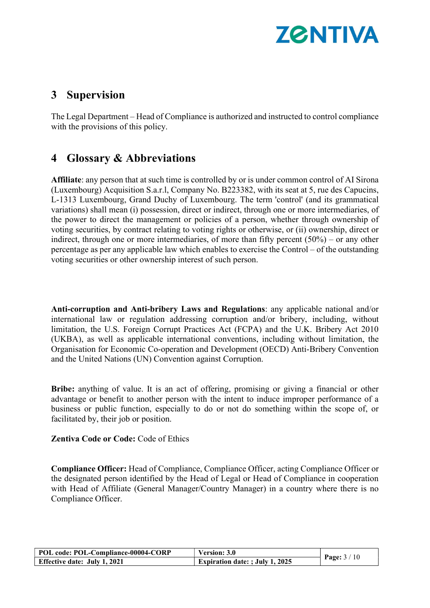

## 3 Supervision

The Legal Department – Head of Compliance is authorized and instructed to control compliance with the provisions of this policy.

# 4 Glossary & Abbreviations

Affiliate: any person that at such time is controlled by or is under common control of AI Sirona (Luxembourg) Acquisition S.a.r.l, Company No. B223382, with its seat at 5, rue des Capucins, L-1313 Luxembourg, Grand Duchy of Luxembourg. The term 'control' (and its grammatical variations) shall mean (i) possession, direct or indirect, through one or more intermediaries, of the power to direct the management or policies of a person, whether through ownership of voting securities, by contract relating to voting rights or otherwise, or (ii) ownership, direct or indirect, through one or more intermediaries, of more than fifty percent (50%) – or any other percentage as per any applicable law which enables to exercise the Control – of the outstanding voting securities or other ownership interest of such person.

Anti-corruption and Anti-bribery Laws and Regulations: any applicable national and/or international law or regulation addressing corruption and/or bribery, including, without limitation, the U.S. Foreign Corrupt Practices Act (FCPA) and the U.K. Bribery Act 2010 (UKBA), as well as applicable international conventions, including without limitation, the Organisation for Economic Co-operation and Development (OECD) Anti-Bribery Convention and the United Nations (UN) Convention against Corruption.

Bribe: anything of value. It is an act of offering, promising or giving a financial or other advantage or benefit to another person with the intent to induce improper performance of a business or public function, especially to do or not do something within the scope of, or facilitated by, their job or position.

Zentiva Code or Code: Code of Ethics

Compliance Officer: Head of Compliance, Compliance Officer, acting Compliance Officer or the designated person identified by the Head of Legal or Head of Compliance in cooperation with Head of Affiliate (General Manager/Country Manager) in a country where there is no Compliance Officer.

| POL code: POL-Compliance-00004-CORP | <b>Version: 3.0</b>                    |                       |
|-------------------------------------|----------------------------------------|-----------------------|
| <b>Effective date: July 1, 2021</b> | <b>Expiration date: ; July 1, 2025</b> | <b>Page:</b> $3 / 10$ |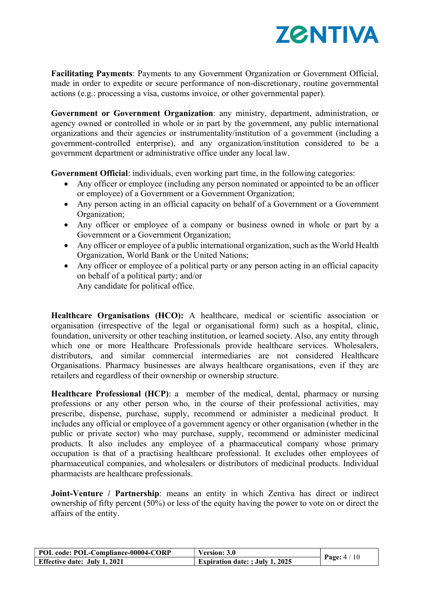

Facilitating Payments: Payments to any Government Organization or Government Official, made in order to expedite or secure performance of non-discretionary, routine governmental actions (e.g.: processing a visa, customs invoice, or other governmental paper).

Government or Government Organization: any ministry, department, administration, or agency owned or controlled in whole or in part by the government, any public international organizations and their agencies or instrumentality/institution of a government (including a government-controlled enterprise), and any organization/institution considered to be a government department or administrative office under any local law.

Government Official: individuals, even working part time, in the following categories:

- Any officer or employee (including any person nominated or appointed to be an officer or employee) of a Government or a Government Organization;
- Any person acting in an official capacity on behalf of a Government or a Government Organization;
- Any officer or employee of a company or business owned in whole or part by a Government or a Government Organization;
- Any officer or employee of a public international organization, such as the World Health Organization, World Bank or the United Nations;
- Any officer or employee of a political party or any person acting in an official capacity on behalf of a political party; and/or Any candidate for political office.

Healthcare Organisations (HCO): A healthcare, medical or scientific association or organisation (irrespective of the legal or organisational form) such as a hospital, clinic, foundation, university or other teaching institution, or learned society. Also, any entity through which one or more Healthcare Professionals provide healthcare services. Wholesalers, distributors, and similar commercial intermediaries are not considered Healthcare Organisations. Pharmacy businesses are always healthcare organisations, even if they are

retailers and regardless of their ownership or ownership structure.

Healthcare Professional (HCP): a member of the medical, dental, pharmacy or nursing professions or any other person who, in the course of their professional activities, may prescribe, dispense, purchase, supply, recommend or administer a medicinal product. It includes any official or employee of a government agency or other organisation (whether in the public or private sector) who may purchase, supply, recommend or administer medicinal products. It also includes any employee of a pharmaceutical company whose primary occupation is that of a practising healthcare professional. It excludes other employees of pharmaceutical companies, and wholesalers or distributors of medicinal products. Individual pharmacists are healthcare professionals.

Joint-Venture / Partnership: means an entity in which Zentiva has direct or indirect ownership of fifty percent (50%) or less of the equity having the power to vote on or direct the affairs of the entity.

| POL code: POL-Compliance-00004-CORP | Version: 3.0                           |                     |
|-------------------------------------|----------------------------------------|---------------------|
| <b>Effective date: July 1, 2021</b> | <b>Expiration date: ; July 1, 2025</b> | <b>Page:</b> $4/10$ |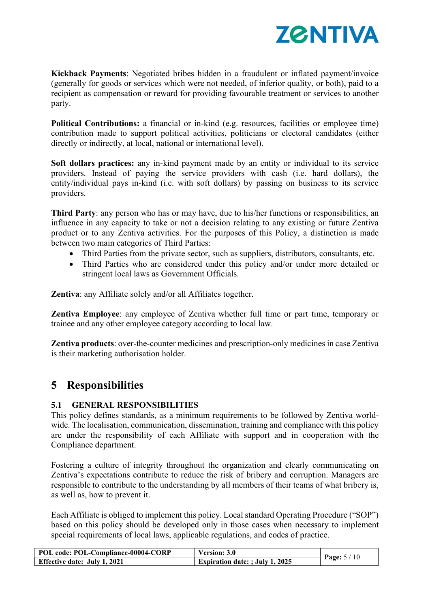

Kickback Payments: Negotiated bribes hidden in a fraudulent or inflated payment/invoice (generally for goods or services which were not needed, of inferior quality, or both), paid to a recipient as compensation or reward for providing favourable treatment or services to another party.

Political Contributions: a financial or in-kind (e.g. resources, facilities or employee time) contribution made to support political activities, politicians or electoral candidates (either directly or indirectly, at local, national or international level).

Soft dollars practices: any in-kind payment made by an entity or individual to its service providers. Instead of paying the service providers with cash (i.e. hard dollars), the entity/individual pays in-kind (i.e. with soft dollars) by passing on business to its service providers.

Third Party: any person who has or may have, due to his/her functions or responsibilities, an influence in any capacity to take or not a decision relating to any existing or future Zentiva product or to any Zentiva activities. For the purposes of this Policy, a distinction is made between two main categories of Third Parties:

- Third Parties from the private sector, such as suppliers, distributors, consultants, etc.
- Third Parties who are considered under this policy and/or under more detailed or stringent local laws as Government Officials.

Zentiva: any Affiliate solely and/or all Affiliates together.

Zentiva Employee: any employee of Zentiva whether full time or part time, temporary or trainee and any other employee category according to local law.

Zentiva products: over-the-counter medicines and prescription-only medicines in case Zentiva is their marketing authorisation holder.

### 5 Responsibilities

### 5.1 GENERAL RESPONSIBILITIES

This policy defines standards, as a minimum requirements to be followed by Zentiva worldwide. The localisation, communication, dissemination, training and compliance with this policy are under the responsibility of each Affiliate with support and in cooperation with the Compliance department.

Fostering a culture of integrity throughout the organization and clearly communicating on Zentiva's expectations contribute to reduce the risk of bribery and corruption. Managers are responsible to contribute to the understanding by all members of their teams of what bribery is, as well as, how to prevent it.

Each Affiliate is obliged to implement this policy. Local standard Operating Procedure ("SOP") based on this policy should be developed only in those cases when necessary to implement special requirements of local laws, applicable regulations, and codes of practice.

| POL code: POL-Compliance-00004-CORP | <b>Version: 3.0</b>                    |                     |
|-------------------------------------|----------------------------------------|---------------------|
| <b>Effective date: July 1, 2021</b> | <b>Expiration date:</b> ; July 1, 2025 | <b>Page:</b> $5/10$ |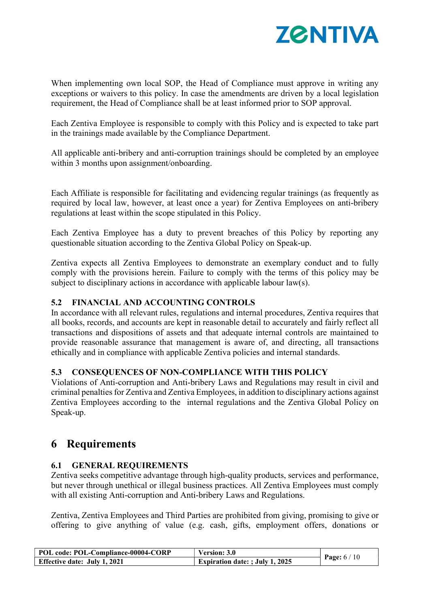

When implementing own local SOP, the Head of Compliance must approve in writing any exceptions or waivers to this policy. In case the amendments are driven by a local legislation requirement, the Head of Compliance shall be at least informed prior to SOP approval.

Each Zentiva Employee is responsible to comply with this Policy and is expected to take part in the trainings made available by the Compliance Department.

All applicable anti-bribery and anti-corruption trainings should be completed by an employee within 3 months upon assignment/onboarding.

Each Affiliate is responsible for facilitating and evidencing regular trainings (as frequently as required by local law, however, at least once a year) for Zentiva Employees on anti-bribery regulations at least within the scope stipulated in this Policy.

Each Zentiva Employee has a duty to prevent breaches of this Policy by reporting any questionable situation according to the Zentiva Global Policy on Speak-up.

Zentiva expects all Zentiva Employees to demonstrate an exemplary conduct and to fully comply with the provisions herein. Failure to comply with the terms of this policy may be subject to disciplinary actions in accordance with applicable labour law(s).

### 5.2 FINANCIAL AND ACCOUNTING CONTROLS

In accordance with all relevant rules, regulations and internal procedures, Zentiva requires that all books, records, and accounts are kept in reasonable detail to accurately and fairly reflect all transactions and dispositions of assets and that adequate internal controls are maintained to provide reasonable assurance that management is aware of, and directing, all transactions ethically and in compliance with applicable Zentiva policies and internal standards.

### 5.3 CONSEQUENCES OF NON-COMPLIANCE WITH THIS POLICY

Violations of Anti-corruption and Anti-bribery Laws and Regulations may result in civil and criminal penalties for Zentiva and Zentiva Employees, in addition to disciplinary actions against Zentiva Employees according to the internal regulations and the Zentiva Global Policy on Speak-up.

### 6 Requirements

### 6.1 GENERAL REQUIREMENTS

Zentiva seeks competitive advantage through high-quality products, services and performance, but never through unethical or illegal business practices. All Zentiva Employees must comply with all existing Anti-corruption and Anti-bribery Laws and Regulations.

Zentiva, Zentiva Employees and Third Parties are prohibited from giving, promising to give or offering to give anything of value (e.g. cash, gifts, employment offers, donations or

| POL code: POL-Compliance-00004-CORP | <b>Version: 3.0</b>                    |                     |
|-------------------------------------|----------------------------------------|---------------------|
| <b>Effective date: July 1, 2021</b> | <b>Expiration date: ; July 1, 2025</b> | <b>Page:</b> $6/10$ |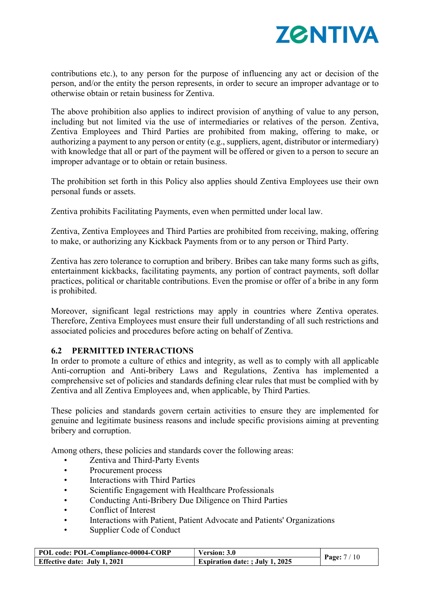

contributions etc.), to any person for the purpose of influencing any act or decision of the person, and/or the entity the person represents, in order to secure an improper advantage or to otherwise obtain or retain business for Zentiva.

The above prohibition also applies to indirect provision of anything of value to any person, including but not limited via the use of intermediaries or relatives of the person. Zentiva, Zentiva Employees and Third Parties are prohibited from making, offering to make, or authorizing a payment to any person or entity (e.g., suppliers, agent, distributor or intermediary) with knowledge that all or part of the payment will be offered or given to a person to secure an improper advantage or to obtain or retain business.

The prohibition set forth in this Policy also applies should Zentiva Employees use their own personal funds or assets.

Zentiva prohibits Facilitating Payments, even when permitted under local law.

Zentiva, Zentiva Employees and Third Parties are prohibited from receiving, making, offering to make, or authorizing any Kickback Payments from or to any person or Third Party.

Zentiva has zero tolerance to corruption and bribery. Bribes can take many forms such as gifts, entertainment kickbacks, facilitating payments, any portion of contract payments, soft dollar practices, political or charitable contributions. Even the promise or offer of a bribe in any form is prohibited.

Moreover, significant legal restrictions may apply in countries where Zentiva operates. Therefore, Zentiva Employees must ensure their full understanding of all such restrictions and associated policies and procedures before acting on behalf of Zentiva.

### 6.2 PERMITTED INTERACTIONS

In order to promote a culture of ethics and integrity, as well as to comply with all applicable Anti-corruption and Anti-bribery Laws and Regulations, Zentiva has implemented a comprehensive set of policies and standards defining clear rules that must be complied with by Zentiva and all Zentiva Employees and, when applicable, by Third Parties.

These policies and standards govern certain activities to ensure they are implemented for genuine and legitimate business reasons and include specific provisions aiming at preventing bribery and corruption.

Among others, these policies and standards cover the following areas:

- Zentiva and Third-Party Events
- Procurement process
- Interactions with Third Parties
- Scientific Engagement with Healthcare Professionals
- Conducting Anti-Bribery Due Diligence on Third Parties
- Conflict of Interest
- Interactions with Patient, Patient Advocate and Patients' Organizations
- Supplier Code of Conduct

| POL code: POL-Compliance-00004-CORP | Version: 3.0                           |              |
|-------------------------------------|----------------------------------------|--------------|
| <b>Effective date: July 1, 2021</b> | <b>Expiration date: ; July 1, 2025</b> | Page: $7/10$ |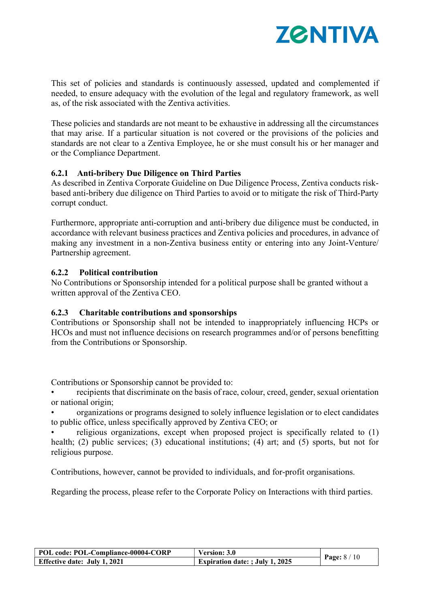

This set of policies and standards is continuously assessed, updated and complemented if needed, to ensure adequacy with the evolution of the legal and regulatory framework, as well as, of the risk associated with the Zentiva activities.

These policies and standards are not meant to be exhaustive in addressing all the circumstances that may arise. If a particular situation is not covered or the provisions of the policies and standards are not clear to a Zentiva Employee, he or she must consult his or her manager and or the Compliance Department.

#### 6.2.1 Anti-bribery Due Diligence on Third Parties

As described in Zentiva Corporate Guideline on Due Diligence Process, Zentiva conducts riskbased anti-bribery due diligence on Third Parties to avoid or to mitigate the risk of Third-Party corrupt conduct.

Furthermore, appropriate anti-corruption and anti-bribery due diligence must be conducted, in accordance with relevant business practices and Zentiva policies and procedures, in advance of making any investment in a non-Zentiva business entity or entering into any Joint-Venture/ Partnership agreement.

#### 6.2.2 Political contribution

No Contributions or Sponsorship intended for a political purpose shall be granted without a written approval of the Zentiva CEO.

### 6.2.3 Charitable contributions and sponsorships

Contributions or Sponsorship shall not be intended to inappropriately influencing HCPs or HCOs and must not influence decisions on research programmes and/or of persons benefitting from the Contributions or Sponsorship.

Contributions or Sponsorship cannot be provided to:

• recipients that discriminate on the basis of race, colour, creed, gender, sexual orientation or national origin;

• organizations or programs designed to solely influence legislation or to elect candidates to public office, unless specifically approved by Zentiva CEO; or

religious organizations, except when proposed project is specifically related to (1) health; (2) public services; (3) educational institutions; (4) art; and (5) sports, but not for religious purpose.

Contributions, however, cannot be provided to individuals, and for-profit organisations.

Regarding the process, please refer to the Corporate Policy on Interactions with third parties.

| POL code: POL-Compliance-00004-CORP | Version: 3.0                           |                     |
|-------------------------------------|----------------------------------------|---------------------|
| <b>Effective date: July 1, 2021</b> | <b>Expiration date: ; July 1, 2025</b> | <b>Page:</b> $8/10$ |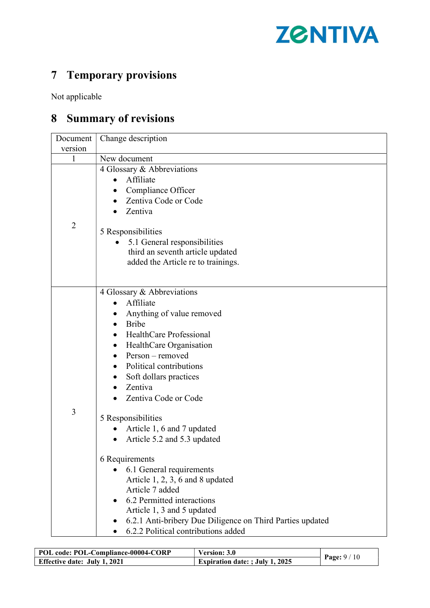

# 7 Temporary provisions

Not applicable

# 8 Summary of revisions

| version<br>1   | New document                                                                                                                                                                                                                                                                                                                                                                                                                                                                                                                                                                                                     |  |
|----------------|------------------------------------------------------------------------------------------------------------------------------------------------------------------------------------------------------------------------------------------------------------------------------------------------------------------------------------------------------------------------------------------------------------------------------------------------------------------------------------------------------------------------------------------------------------------------------------------------------------------|--|
|                |                                                                                                                                                                                                                                                                                                                                                                                                                                                                                                                                                                                                                  |  |
|                |                                                                                                                                                                                                                                                                                                                                                                                                                                                                                                                                                                                                                  |  |
|                | 4 Glossary & Abbreviations<br>Affiliate<br>Compliance Officer<br>Zentiva Code or Code<br>Zentiva                                                                                                                                                                                                                                                                                                                                                                                                                                                                                                                 |  |
| $\overline{2}$ | 5 Responsibilities                                                                                                                                                                                                                                                                                                                                                                                                                                                                                                                                                                                               |  |
|                | 5.1 General responsibilities<br>third an seventh article updated<br>added the Article re to trainings.                                                                                                                                                                                                                                                                                                                                                                                                                                                                                                           |  |
| 3              | 4 Glossary & Abbreviations<br>Affiliate<br>Anything of value removed<br><b>Bribe</b><br>HealthCare Professional<br>HealthCare Organisation<br>Person – removed<br>Political contributions<br>Soft dollars practices<br>Zentiva<br>Zentiva Code or Code<br>5 Responsibilities<br>Article 1, 6 and 7 updated<br>Article 5.2 and 5.3 updated<br>6 Requirements<br>6.1 General requirements<br>Article $1, 2, 3, 6$ and 8 updated<br>Article 7 added<br>6.2 Permitted interactions<br>Article 1, 3 and 5 updated<br>6.2.1 Anti-bribery Due Diligence on Third Parties updated<br>6.2.2 Political contributions added |  |

| POL code: POL-Compliance-00004-CORP | Version: 3.0                           |                     |
|-------------------------------------|----------------------------------------|---------------------|
| <b>Effective date: July 1, 2021</b> | <b>Expiration date: ; July 1, 2025</b> | <b>Page:</b> $9/10$ |